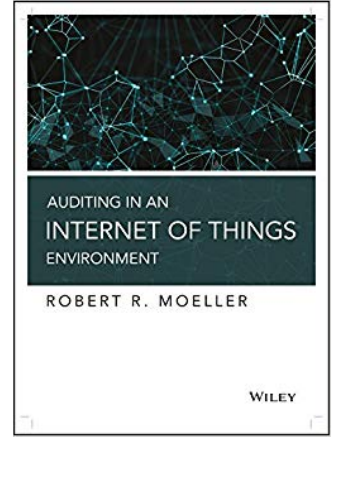

## **AUDITING IN AN INTERNET OF THINGS ENVIRONMENT**

## ROBERT R. MOELLER

WILEY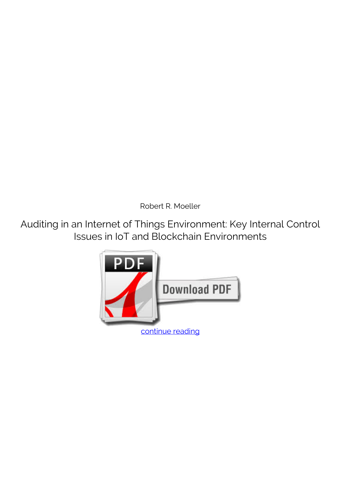*Robert R. Moeller*

**Auditing in an Internet of Things Environment: Key Internal Control Issues in IoT and Blockchain Environments**

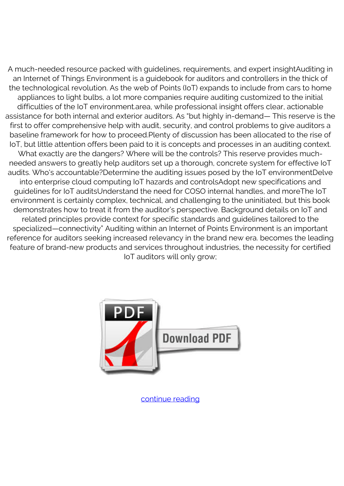A much-needed resource packed with guidelines, requirements, and expert insightAuditing in an Internet of Things Environment is a guidebook for auditors and controllers in the thick of the technological revolution. As the web of Points (IoT) expands to include from cars to home appliances to light bulbs, a lot more companies require auditing customized to the initial difficulties of the IoT environment.area, while professional insight offers clear, actionable assistance for both internal and exterior auditors. As "but highly in-demand— This reserve is the first to offer comprehensive help with audit, security, and control problems to give auditors a baseline framework for how to proceed.Plenty of discussion has been allocated to the rise of IoT, but little attention offers been paid to it is concepts and processes in an auditing context. What exactly are the dangers? Where will be the controls? This reserve provides muchneeded answers to greatly help auditors set up a thorough, concrete system for effective IoT audits. Who's accountable?Determine the auditing issues posed by the IoT environmentDelve into enterprise cloud computing IoT hazards and controlsAdopt new specifications and guidelines for IoT auditsUnderstand the need for COSO internal handles, and moreThe IoT environment is certainly complex, technical, and challenging to the uninitiated, but this book demonstrates how to treat it from the auditor's perspective. Background details on IoT and related principles provide context for specific standards and guidelines tailored to the specialized—connectivity" Auditing within an Internet of Points Environment is an important reference for auditors seeking increased relevancy in the brand new era. becomes the leading feature of brand-new products and services throughout industries, the necessity for certified IoT auditors will only grow;



[continue reading](http://bit.ly/2Tge8Fv)